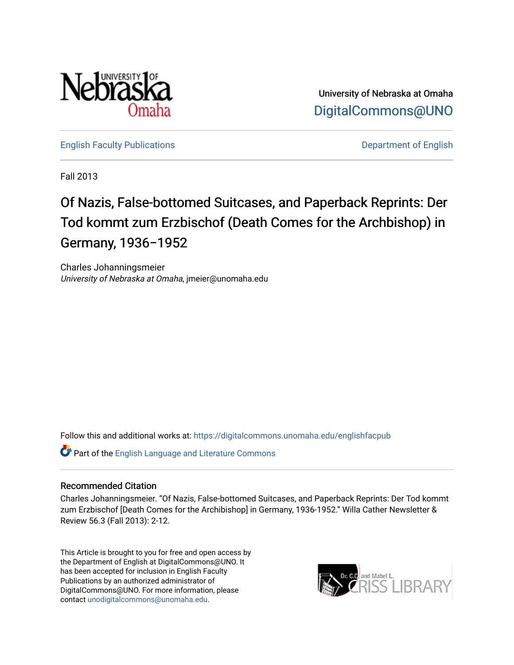

University of Nebraska at Omaha [DigitalCommons@UNO](https://digitalcommons.unomaha.edu/) 

[English Faculty Publications](https://digitalcommons.unomaha.edu/englishfacpub) **English** Department of English

Fall 2013

# Of Nazis, False-bottomed Suitcases, and Paperback Reprints: Der Tod kommt zum Erzbischof (Death Comes for the Archbishop) in Germany, 1936−1952

Charles Johanningsmeier University of Nebraska at Omaha, jmeier@unomaha.edu

Follow this and additional works at: [https://digitalcommons.unomaha.edu/englishfacpub](https://digitalcommons.unomaha.edu/englishfacpub?utm_source=digitalcommons.unomaha.edu%2Fenglishfacpub%2F79&utm_medium=PDF&utm_campaign=PDFCoverPages) 

Part of the [English Language and Literature Commons](http://network.bepress.com/hgg/discipline/455?utm_source=digitalcommons.unomaha.edu%2Fenglishfacpub%2F79&utm_medium=PDF&utm_campaign=PDFCoverPages)

### Recommended Citation

Charles Johanningsmeier. "Of Nazis, False-bottomed Suitcases, and Paperback Reprints: Der Tod kommt zum Erzbischof [Death Comes for the Archibishop] in Germany, 1936-1952." Willa Cather Newsletter & Review 56.3 (Fall 2013): 2-12.

This Article is brought to you for free and open access by the Department of English at DigitalCommons@UNO. It has been accepted for inclusion in English Faculty Publications by an authorized administrator of DigitalCommons@UNO. For more information, please contact [unodigitalcommons@unomaha.edu](mailto:unodigitalcommons@unomaha.edu).

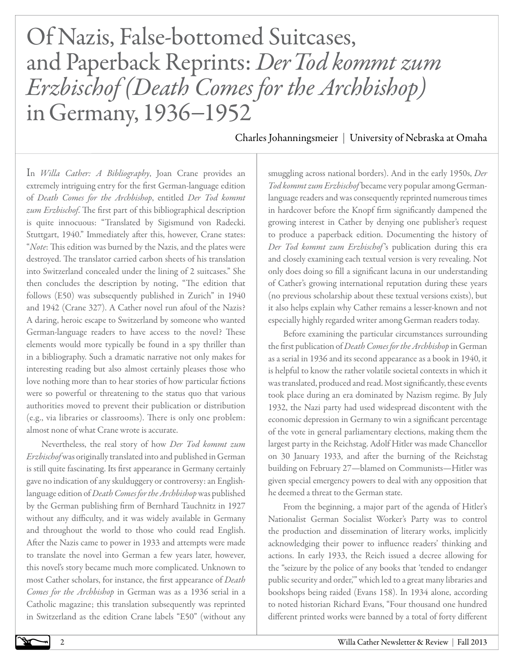# Of Nazis, False-bottomed Suitcases, and Paperback Reprints: *Der Tod kommt zum Erzbischof (Death Comes for the Archbishop)* in Germany, 1936−1952

Charles Johanningsmeier | University of Nebraska at Omaha

In *Willa Cather: A Bibliography*, Joan Crane provides an extremely intriguing entry for the first German-language edition of *Death Comes for the Archbishop*, entitled *Der Tod kommt zum Erzbischof*. The first part of this bibliographical description is quite innocuous: "Translated by Sigismund von Radecki. Stuttgart, 1940." Immediately after this, however, Crane states: "*Note*: This edition was burned by the Nazis, and the plates were destroyed. The translator carried carbon sheets of his translation into Switzerland concealed under the lining of 2 suitcases." She then concludes the description by noting, "The edition that follows (E50) was subsequently published in Zurich" in 1940 and 1942 (Crane 327). A Cather novel run afoul of the Nazis? A daring, heroic escape to Switzerland by someone who wanted German-language readers to have access to the novel? These elements would more typically be found in a spy thriller than in a bibliography. Such a dramatic narrative not only makes for interesting reading but also almost certainly pleases those who love nothing more than to hear stories of how particular fictions were so powerful or threatening to the status quo that various authorities moved to prevent their publication or distribution (e.g., via libraries or classrooms). There is only one problem: almost none of what Crane wrote is accurate.

Nevertheless, the real story of how *Der Tod kommt zum Erzbischof* was originally translated into and published in German is still quite fascinating. Its first appearance in Germany certainly gave no indication of any skulduggery or controversy: an Englishlanguage edition of *Death Comes for the Archbishop* was published by the German publishing firm of Bernhard Tauchnitz in 1927 without any difficulty, and it was widely available in Germany and throughout the world to those who could read English. After the Nazis came to power in 1933 and attempts were made to translate the novel into German a few years later, however, this novel's story became much more complicated. Unknown to most Cather scholars, for instance, the first appearance of *Death Comes for the Archbishop* in German was as a 1936 serial in a Catholic magazine; this translation subsequently was reprinted in Switzerland as the edition Crane labels "E50" (without any smuggling across national borders). And in the early 1950s, *Der Tod kommt zum Erzbischof* became very popular among Germanlanguage readers and was consequently reprinted numerous times in hardcover before the Knopf firm significantly dampened the growing interest in Cather by denying one publisher's request to produce a paperback edition. Documenting the history of *Der Tod kommt zum Erzbischof* 's publication during this era and closely examining each textual version is very revealing. Not only does doing so fill a significant lacuna in our understanding of Cather's growing international reputation during these years (no previous scholarship about these textual versions exists), but it also helps explain why Cather remains a lesser-known and not especially highly regarded writer among German readers today.

Before examining the particular circumstances surrounding the first publication of *Death Comes for the Archbishop* in German as a serial in 1936 and its second appearance as a book in 1940, it is helpful to know the rather volatile societal contexts in which it was translated, produced and read. Most significantly, these events took place during an era dominated by Nazism regime. By July 1932, the Nazi party had used widespread discontent with the economic depression in Germany to win a significant percentage of the vote in general parliamentary elections, making them the largest party in the Reichstag. Adolf Hitler was made Chancellor on 30 January 1933, and after the burning of the Reichstag building on February 27—blamed on Communists—Hitler was given special emergency powers to deal with any opposition that he deemed a threat to the German state.

From the beginning, a major part of the agenda of Hitler's Nationalist German Socialist Worker's Party was to control the production and dissemination of literary works, implicitly acknowledging their power to influence readers' thinking and actions. In early 1933, the Reich issued a decree allowing for the "seizure by the police of any books that 'tended to endanger public security and order,'" which led to a great many libraries and bookshops being raided (Evans 158). In 1934 alone, according to noted historian Richard Evans, "Four thousand one hundred different printed works were banned by a total of forty different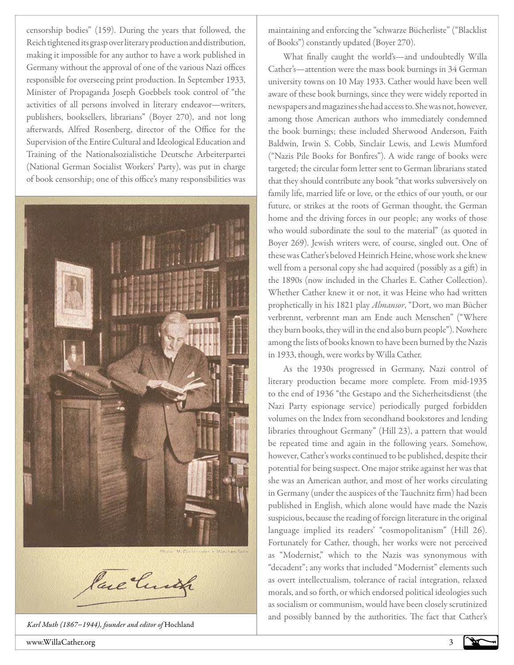censorship bodies" (159). During the years that followed, the Reich tightened its grasp over literary production and distribution, making it impossible for any author to have a work published in Germany without the approval of one of the various Nazi offices responsible for overseeing print production. In September 1933, Minister of Propaganda Joseph Goebbels took control of "the activities of all persons involved in literary endeavor—writers, publishers, booksellers, librarians" (Boyer 270), and not long afterwards, Alfred Rosenberg, director of the Office for the Supervision of the Entire Cultural and Ideological Education and Training of the Nationalsozialistiche Deutsche Arbeiterpartei (National German Socialist Workers' Party), was put in charge of book censorship; one of this office's many responsibilities was



*Karl Muth (1867−1944), founder and editor of* Hochland

maintaining and enforcing the "schwarze Bücherliste" ("Blacklist of Books") constantly updated (Boyer 270).

What finally caught the world's—and undoubtedly Willa Cather's—attention were the mass book burnings in 34 German university towns on 10 May 1933. Cather would have been well aware of these book burnings, since they were widely reported in newspapers and magazines she had access to. She was not, however, among those American authors who immediately condemned the book burnings; these included Sherwood Anderson, Faith Baldwin, Irwin S. Cobb, Sinclair Lewis, and Lewis Mumford ("Nazis Pile Books for Bonfires"). A wide range of books were targeted; the circular form letter sent to German librarians stated that they should contribute any book "that works subversively on family life, married life or love, or the ethics of our youth, or our future, or strikes at the roots of German thought, the German home and the driving forces in our people; any works of those who would subordinate the soul to the material" (as quoted in Boyer 269). Jewish writers were, of course, singled out. One of these was Cather's beloved Heinrich Heine, whose work she knew well from a personal copy she had acquired (possibly as a gift) in the 1890s (now included in the Charles E. Cather Collection). Whether Cather knew it or not, it was Heine who had written prophetically in his 1821 play *Almansor*, "Dort, wo man Bücher verbrennt, verbrennt man am Ende auch Menschen" ("Where they burn books, they will in the end also burn people"). Nowhere among the lists of books known to have been burned by the Nazis in 1933, though, were works by Willa Cather.

As the 1930s progressed in Germany, Nazi control of literary production became more complete. From mid-1935 to the end of 1936 "the Gestapo and the Sicherheitsdienst (the Nazi Party espionage service) periodically purged forbidden volumes on the Index from secondhand bookstores and lending libraries throughout Germany" (Hill 23), a pattern that would be repeated time and again in the following years. Somehow, however, Cather's works continued to be published, despite their potential for being suspect. One major strike against her was that she was an American author, and most of her works circulating in Germany (under the auspices of the Tauchnitz firm) had been published in English, which alone would have made the Nazis suspicious, because the reading of foreign literature in the original language implied its readers' "cosmopolitanism" (Hill 26). Fortunately for Cather, though, her works were not perceived as "Modernist," which to the Nazis was synonymous with "decadent"; any works that included "Modernist" elements such as overt intellectualism, tolerance of racial integration, relaxed morals, and so forth, or which endorsed political ideologies such as socialism or communism, would have been closely scrutinized and possibly banned by the authorities. The fact that Cather's

www.WillaCather.org 3

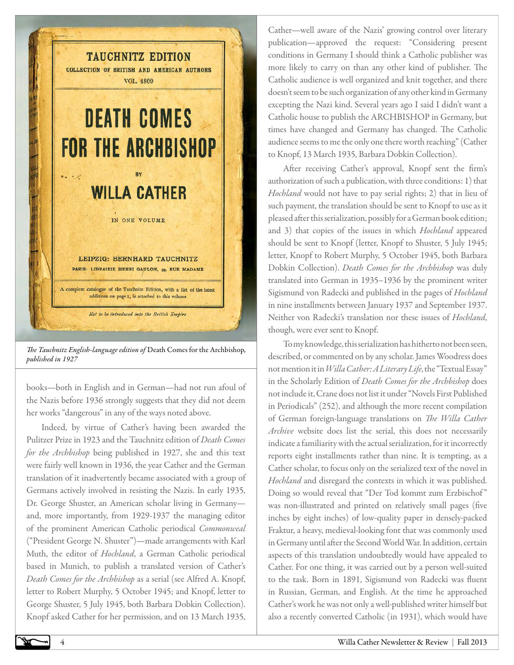

*The Tauchnitz English-language edition of* Death Comes for the Archbishop*, published in 1927*

books—both in English and in German—had not run afoul of the Nazis before 1936 strongly suggests that they did not deem her works "dangerous" in any of the ways noted above.

Indeed, by virtue of Cather's having been awarded the Pulitzer Prize in 1923 and the Tauchnitz edition of *Death Comes for the Archbishop* being published in 1927, she and this text were fairly well known in 1936, the year Cather and the German translation of it inadvertently became associated with a group of Germans actively involved in resisting the Nazis. In early 1935, Dr. George Shuster, an American scholar living in Germany and, more importantly, from 1929-1937 the managing editor of the prominent American Catholic periodical *Commonweal*  ("President George N. Shuster")—made arrangements with Karl Muth, the editor of *Hochland*, a German Catholic periodical based in Munich, to publish a translated version of Cather's *Death Comes for the Archbishop* as a serial (see Alfred A. Knopf, letter to Robert Murphy, 5 October 1945; and Knopf, letter to George Shuster, 5 July 1945, both Barbara Dobkin Collection). Knopf asked Cather for her permission, and on 13 March 1935,

Cather—well aware of the Nazis' growing control over literary publication—approved the request: "Considering present conditions in Germany I should think a Catholic publisher was more likely to carry on than any other kind of publisher. The Catholic audience is well organized and knit together, and there doesn't seem to be such organization of any other kind in Germany excepting the Nazi kind. Several years ago I said I didn't want a Catholic house to publish the ARCHBISHOP in Germany, but times have changed and Germany has changed. The Catholic audience seems to me the only one there worth reaching" (Cather to Knopf, 13 March 1935, Barbara Dobkin Collection).

After receiving Cather's approval, Knopf sent the firm's authorization of such a publication, with three conditions: 1) that *Hochland* would not have to pay serial rights; 2) that in lieu of such payment, the translation should be sent to Knopf to use as it pleased after this serialization, possibly for a German book edition; and 3) that copies of the issues in which *Hochland* appeared should be sent to Knopf (letter, Knopf to Shuster, 5 July 1945; letter, Knopf to Robert Murphy, 5 October 1945, both Barbara Dobkin Collection). *Death Comes for the Archbishop* was duly translated into German in 1935–1936 by the prominent writer Sigismund von Radecki and published in the pages of *Hochland*  in nine installments between January 1937 and September 1937. Neither von Radecki's translation nor these issues of *Hochland*, though, were ever sent to Knopf.

To my knowledge, this serialization has hitherto not been seen, described, or commented on by any scholar. James Woodress does not mention it in *Willa Cather: A Literary Life*, the "Textual Essay" in the Scholarly Edition of *Death Comes for the Archbishop* does not include it, Crane does not list it under "Novels First Published in Periodicals" (252), and although the more recent compilation of German foreign-language translations on *The Willa Cather Archive* website does list the serial, this does not necessarily indicate a familiarity with the actual serialization, for it incorrectly reports eight installments rather than nine. It is tempting, as a Cather scholar, to focus only on the serialized text of the novel in *Hochland* and disregard the contexts in which it was published. Doing so would reveal that "Der Tod kommt zum Erzbischof " was non-illustrated and printed on relatively small pages (five inches by eight inches) of low-quality paper in densely-packed Fraktur, a heavy, medieval-looking font that was commonly used in Germany until after the Second World War. In addition, certain aspects of this translation undoubtedly would have appealed to Cather. For one thing, it was carried out by a person well-suited to the task. Born in 1891, Sigismund von Radecki was fluent in Russian, German, and English. At the time he approached Cather's work he was not only a well-published writer himself but also a recently converted Catholic (in 1931), which would have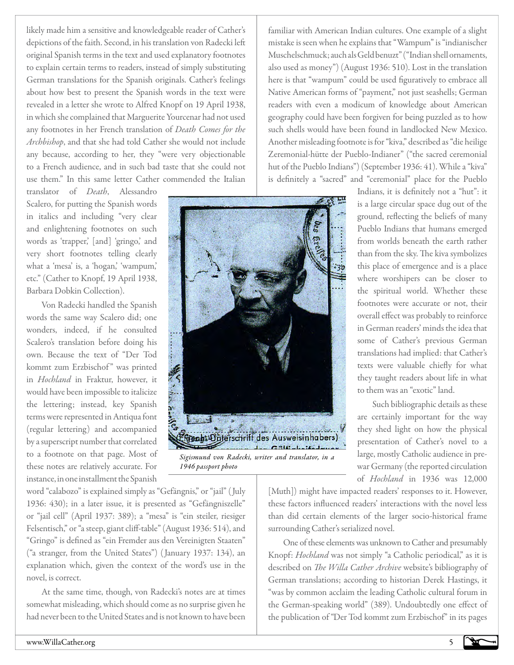likely made him a sensitive and knowledgeable reader of Cather's depictions of the faith. Second, in his translation von Radecki left original Spanish terms in the text and used explanatory footnotes to explain certain terms to readers, instead of simply substituting German translations for the Spanish originals. Cather's feelings about how best to present the Spanish words in the text were revealed in a letter she wrote to Alfred Knopf on 19 April 1938, in which she complained that Marguerite Yourcenar had not used any footnotes in her French translation of *Death Comes for the Archbishop*, and that she had told Cather she would not include any because, according to her, they "were very objectionable to a French audience, and in such bad taste that she could not use them." In this same letter Cather commended the Italian

translator of *Death*, Alessandro Scalero, for putting the Spanish words in italics and including "very clear and enlightening footnotes on such words as 'trapper,' [and] 'gringo,' and very short footnotes telling clearly what a 'mesa' is, a 'hogan,' 'wampum,' etc." (Cather to Knopf, 19 April 1938, Barbara Dobkin Collection).

Von Radecki handled the Spanish words the same way Scalero did; one wonders, indeed, if he consulted Scalero's translation before doing his own. Because the text of "Der Tod kommt zum Erzbischof" was printed in *Hochland* in Fraktur, however, it would have been impossible to italicize the lettering; instead, key Spanish terms were represented in Antiqua font (regular lettering) and accompanied by a superscript number that correlated to a footnote on that page. Most of these notes are relatively accurate. For instance, in one installment the Spanish

word "calabozo" is explained simply as "Gefängnis," or "jail" (July 1936: 430); in a later issue, it is presented as "Gefängniszelle" or "jail cell" (April 1937: 389); a "mesa" is "ein steiler, riesiger Felsentisch," or "a steep, giant cliff-table" (August 1936: 514), and "Gringo" is defined as "ein Fremder aus den Vereinigten Staaten" ("a stranger, from the United States") (January 1937: 134), an explanation which, given the context of the word's use in the novel, is correct.

At the same time, though, von Radecki's notes are at times somewhat misleading, which should come as no surprise given he had never been to the United States and is not known to have been

familiar with American Indian cultures. One example of a slight mistake is seen when he explains that "Wampum" is "indianischer Muschelschmuck; auch als Geld benuzt" ("Indian shell ornaments, also used as money") (August 1936: 510). Lost in the translation here is that "wampum" could be used figuratively to embrace all Native American forms of "payment," not just seashells; German readers with even a modicum of knowledge about American geography could have been forgiven for being puzzled as to how such shells would have been found in landlocked New Mexico. Another misleading footnote is for "kiva," described as "die heilige Zeremonial-hütte der Pueblo-Indianer" ("the sacred ceremonial hut of the Pueblo Indians") (September 1936: 41). While a "kiva" is definitely a "sacred" and "ceremonial" place for the Pueblo



*Sigismund von Radecki, writer and translator, in a 1946 passport photo*

Indians, it is definitely not a "hut": it is a large circular space dug out of the ground, reflecting the beliefs of many Pueblo Indians that humans emerged from worlds beneath the earth rather than from the sky. The kiva symbolizes this place of emergence and is a place where worshipers can be closer to the spiritual world. Whether these footnotes were accurate or not, their overall effect was probably to reinforce in German readers' minds the idea that some of Cather's previous German translations had implied: that Cather's texts were valuable chiefly for what they taught readers about life in what to them was an "exotic" land.

Such bibliographic details as these are certainly important for the way they shed light on how the physical presentation of Cather's novel to a large, mostly Catholic audience in prewar Germany (the reported circulation of *Hochland* in 1936 was 12,000

[Muth]) might have impacted readers' responses to it. However, these factors influenced readers' interactions with the novel less than did certain elements of the larger socio-historical frame surrounding Cather's serialized novel.

One of these elements was unknown to Cather and presumably Knopf: *Hochland* was not simply "a Catholic periodical," as it is described on *The Willa Cather Archive* website's bibliography of German translations; according to historian Derek Hastings, it "was by common acclaim the leading Catholic cultural forum in the German-speaking world" (389). Undoubtedly one effect of the publication of "Der Tod kommt zum Erzbischof" in its pages

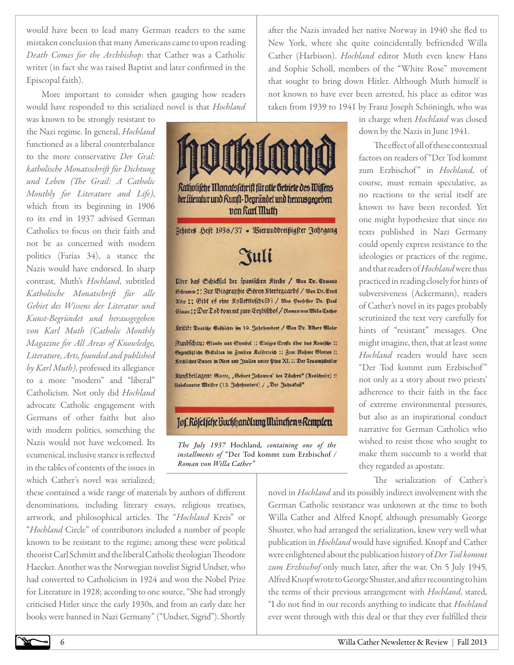would have been to lead many German readers to the same mistaken conclusion that many Americans came to upon reading *Death Comes for the Archbishop*: that Cather was a Catholic writer (in fact she was raised Baptist and later confirmed in the Episcopal faith).

More important to consider when gauging how readers would have responded to this serialized novel is that *Hochland* 

was known to be strongly resistant to the Nazi regime. In general, *Hochland*  functioned as a liberal counterbalance to the more conservative *Der Gral: katholische Monatsschrift für Dichtung und Leben (The Grail: A Catholic Monthly for Literature and Life)*, which from its beginning in 1906 to its end in 1937 advised German Catholics to focus on their faith and not be as concerned with modern politics (Farías 34), a stance the Nazis would have endorsed. In sharp contrast, Muth's *Hochland*, subtitled *Katholische Monatschrift für alle Gebiet des Wissens der Literatur und Kunst-Begründet und herausgegeben von Karl Muth (Catholic Monthly Magazine for All Areas of Knowledge, Literature, Arts, founded and published by Karl Muth)*, professed its allegiance to a more "modern" and "liberal" Catholicism. Not only did *Hochland* advocate Catholic engagement with Germans of other faiths but also with modern politics, something the Nazis would not have welcomed. Its ecumenical, inclusive stance is reflected in the tables of contents of the issues in which Cather's novel was serialized;

these contained a wide range of materials by authors of different denominations, including literary essays, religious treatises, artwork, and philosophical articles. The "*Hochland* Kreis" or "*Hochland* Circle" of contributors included a number of people known to be resistant to the regime; among these were political theorist Carl Schmitt and the liberal Catholic theologian Theodore Haecker. Another was the Norwegian novelist Sigrid Undset, who had converted to Catholicism in 1924 and won the Nobel Prize for Literature in 1928; according to one source, "She had strongly criticised Hitler since the early 1930s, and from an early date her books were banned in Nazi Germany" ("Undset, Sigrid"). Shortly

Katholifche Monatsfchrift für alle Gebiete des Wilfens der Literatur und Kunft-Bearlindet und herausgegeben pon Rari Muth Zehntes Heft 1936/37 . Bierunddreißigster Jahrgang Tuli

Uber das Schickfal der spanischen Rirche / Won Dr. Edmund Soramm :: Bur Biographie Sören Rierkegaards / Won Dr. Ernft Alter :: Gibt es eine Rollettivfculd? / Bon Profeffor Dr. Paul Simon :: Der Lod fommt zum Erzbischof / Roman von Willa Cather

Kritif: Deutsche Geschichte im 19. Jahrhundert / Won Dr. Albert Maier

Rundschau: Glaube und Symbol :: Einiges Ernfte über das Komische :: Gegenfäßliche Geftalten im Zweiten Raiferreich :: Zum Ruhme Giottos :: Rirdlides Bauen in Rom und Jtalien unter Pius XI. :: Der Traumhändler

Runftbeilagen: Giotto, "Geburt Johannes' des Zäufers" (Ausschnitt) :: Unbekannter Meister (13. Jahrhundert) / "Der Judastuß"

# Jof. Röfel fche Buchhandlung Illunchen u Rempten

*The July 1937* Hochland*, containing one of the installments of* "Der Tod kommt zum Erzbischof */ Roman von Willa Cather"*

after the Nazis invaded her native Norway in 1940 she fled to New York, where she quite coincidentally befriended Willa Cather (Harbison). *Hochland* editor Muth even knew Hans and Sophie Scholl, members of the "White Rose" movement that sought to bring down Hitler. Although Muth himself is not known to have ever been arrested, his place as editor was taken from 1939 to 1941 by Franz Joseph Schöningh, who was

in charge when *Hochland* was closed down by the Nazis in June 1941.

The effect of all of these contextual factors on readers of "Der Tod kommt zum Erzbischof" in *Hochland*, of course, must remain speculative, as no reactions to the serial itself are known to have been recorded. Yet one might hypothesize that since no texts published in Nazi Germany could openly express resistance to the ideologies or practices of the regime, and that readers of *Hochland* were thus practiced in reading closely for hints of subversiveness (Ackermann), readers of Cather's novel in its pages probably scrutinized the text very carefully for hints of "resistant" messages. One might imagine, then, that at least some *Hochland* readers would have seen "Der Tod kommt zum Erzbischof " not only as a story about two priests' adherence to their faith in the face of extreme environmental pressures, but also as an inspirational conduct narrative for German Catholics who wished to resist those who sought to make them succumb to a world that they regarded as apostate.

The serialization of Cather's

novel in *Hochland* and its possibly indirect involvement with the German Catholic resistance was unknown at the time to both Willa Cather and Alfred Knopf, although presumably George Shuster, who had arranged the serialization, knew very well what publication in *Hochland* would have signified. Knopf and Cather were enlightened about the publication history of *Der Tod kommt zum Erzbischof* only much later, after the war. On 5 July 1945, Alfred Knopf wrote to George Shuster, and after recounting to him the terms of their previous arrangement with *Hochland*, stated, "I do not find in our records anything to indicate that *Hochland* ever went through with this deal or that they ever fulfilled their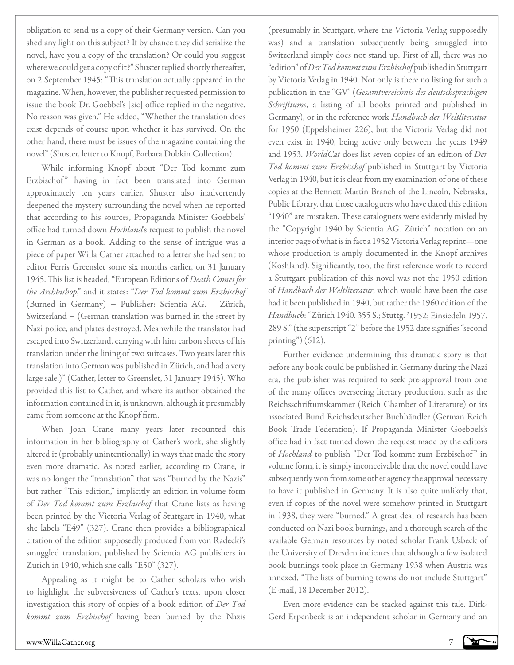obligation to send us a copy of their Germany version. Can you shed any light on this subject? If by chance they did serialize the novel, have you a copy of the translation? Or could you suggest where we could get a copy of it?" Shuster replied shortly thereafter, on 2 September 1945: "This translation actually appeared in the magazine. When, however, the publisher requested permission to issue the book Dr. Goebbel's [sic] office replied in the negative. No reason was given." He added, "Whether the translation does exist depends of course upon whether it has survived. On the other hand, there must be issues of the magazine containing the novel" (Shuster, letter to Knopf, Barbara Dobkin Collection).

While informing Knopf about "Der Tod kommt zum Erzbischof" having in fact been translated into German approximately ten years earlier, Shuster also inadvertently deepened the mystery surrounding the novel when he reported that according to his sources, Propaganda Minister Goebbels' office had turned down *Hochland*'s request to publish the novel in German as a book. Adding to the sense of intrigue was a piece of paper Willa Cather attached to a letter she had sent to editor Ferris Greenslet some six months earlier, on 31 January 1945. This list is headed, "European Editions of *Death Comes for the Archbishop*," and it states: "*Der Tod kommt zum Erzbischof*  (Burned in Germany) − Publisher: Scientia AG. – Zürich, Switzerland − (German translation was burned in the street by Nazi police, and plates destroyed. Meanwhile the translator had escaped into Switzerland, carrying with him carbon sheets of his translation under the lining of two suitcases. Two years later this translation into German was published in Zürich, and had a very large sale.)" (Cather, letter to Greenslet, 31 January 1945). Who provided this list to Cather, and where its author obtained the information contained in it, is unknown, although it presumably came from someone at the Knopf firm.

When Joan Crane many years later recounted this information in her bibliography of Cather's work, she slightly altered it (probably unintentionally) in ways that made the story even more dramatic. As noted earlier, according to Crane, it was no longer the "translation" that was "burned by the Nazis" but rather "This edition," implicitly an edition in volume form of *Der Tod kommt zum Erzbischof* that Crane lists as having been printed by the Victoria Verlag of Stuttgart in 1940, what she labels "E49" (327). Crane then provides a bibliographical citation of the edition supposedly produced from von Radecki's smuggled translation, published by Scientia AG publishers in Zurich in 1940, which she calls "E50" (327).

Appealing as it might be to Cather scholars who wish to highlight the subversiveness of Cather's texts, upon closer investigation this story of copies of a book edition of *Der Tod kommt zum Erzbischof* having been burned by the Nazis

(presumably in Stuttgart, where the Victoria Verlag supposedly was) and a translation subsequently being smuggled into Switzerland simply does not stand up. First of all, there was no "edition" of *Der Tod kommt zum Erzbischof* published in Stuttgart by Victoria Verlag in 1940. Not only is there no listing for such a publication in the "GV" (*Gesamtvereichnis des deutschsprachigen Schrifttums*, a listing of all books printed and published in Germany), or in the reference work *Handbuch der Weltliteratur* for 1950 (Eppelsheimer 226), but the Victoria Verlag did not even exist in 1940, being active only between the years 1949 and 1953. *WorldCat* does list seven copies of an edition of *Der Tod kommt zum Erzbischof* published in Stuttgart by Victoria Verlag in 1940, but it is clear from my examination of one of these copies at the Bennett Martin Branch of the Lincoln, Nebraska, Public Library, that those cataloguers who have dated this edition "1940" are mistaken. These cataloguers were evidently misled by the "Copyright 1940 by Scientia AG. Zürich" notation on an interior page of what is in fact a 1952 Victoria Verlag reprint—one whose production is amply documented in the Knopf archives (Koshland). Significantly, too, the first reference work to record a Stuttgart publication of this novel was not the 1950 edition of *Handbuch der Weltliteratur*, which would have been the case had it been published in 1940, but rather the 1960 edition of the Handbuch: "Zürich 1940. 355 S.; Stuttg. <sup>2</sup>1952; Einsiedeln 1957. 289 S." (the superscript "2" before the 1952 date signifies "second printing" $(612)$ .

Further evidence undermining this dramatic story is that before any book could be published in Germany during the Nazi era, the publisher was required to seek pre-approval from one of the many offices overseeing literary production, such as the Reichsschriftumskammer (Reich Chamber of Literature) or its associated Bund Reichsdeutscher Buchhändler (German Reich Book Trade Federation). If Propaganda Minister Goebbels's office had in fact turned down the request made by the editors of *Hochland* to publish "Der Tod kommt zum Erzbischof" in volume form, it is simply inconceivable that the novel could have subsequently won from some other agency the approval necessary to have it published in Germany. It is also quite unlikely that, even if copies of the novel were somehow printed in Stuttgart in 1938, they were "burned." A great deal of research has been conducted on Nazi book burnings, and a thorough search of the available German resources by noted scholar Frank Usbeck of the University of Dresden indicates that although a few isolated book burnings took place in Germany 1938 when Austria was annexed, "The lists of burning towns do not include Stuttgart" (E-mail, 18 December 2012).

Even more evidence can be stacked against this tale. Dirk-Gerd Erpenbeck is an independent scholar in Germany and an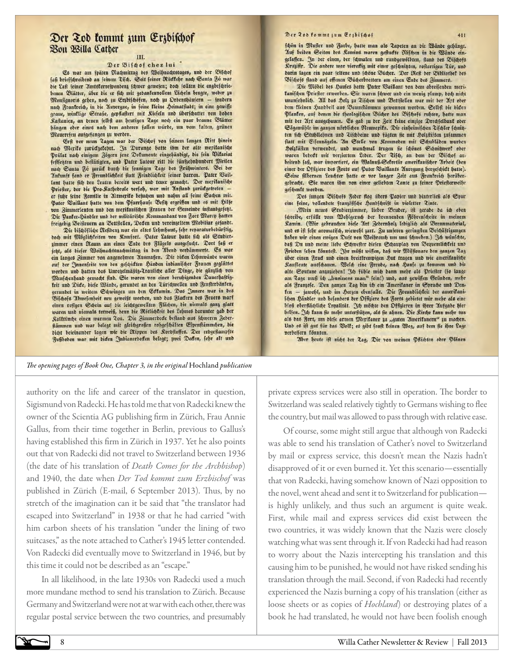# Der Zod kommt zum Erzbischof Bon Willa Cather

## III.

#### Der Bifdof chez lui

Es war am fpäten Nachmittag des Weihnachtstages, und der Bischof faß brieffdreibend an feinem Tifd. Seit feiner Rüdlehr nach Santa Fe war die Laft feiner Amtskorrespondenz fchwer gewesen; doch follten die engbeschriebenen Blätter, über die er fich mit gebantenvollem Lächeln beugte, weber zu Monsignoris gehen, noch zu Erzbischöfen, noch zu Ordenshäusern - fondern nach Frankreich, in die Auvergne, in feine fleine heimatstadt; in eine gewiffe graue, winklige Strafe, gepflaftert mit Riefeln und überschattet von hohen Raftanien, an denen felbft am heutigen Tage noch ein paar braune Blätter bangen ober eines nach dem anderen fallen würde, um vom talten, grünen Mauerefeu aufgefangen zu werden.

Erft vor neun Tagen war der Bifchof von feinem langen Ritt hinein nach Meriko zurückgekehrt. In Durango hatte ihm der alte merikanische Prälat nach einigem Zögern jene Dolumente eingehändigt, die fein Vitariat festfetzten und bestätigten, und Pater Latour ritt die fünfzehnhundert Meilen nach Santa Fe zurück durch die fonnigen Tage des Frühwinters. Bei der Antunft fand er Freundlichkeit ftatt Feindlichkeit feiner harren. Pater Baillant hatte fich den Leuten bereits wert und teuer gemacht. Der meritanische Priefter, der die Pro-Kathedrale verfah, war mit Anstand zurückgetreten er fuhr feine Familie in Altmerito befuchen und nahm all feine Gachen mit. Pater Baillant hatte von dem Pfarrhaufe Befit ergriffen und es mit Silfe von Zimmerleuten und den meritanischen Frauen der Gemeinde instandgesetzt. Die Pantee-Händler und der militärische Kommandant von Fort Marcy hatten freigebig Beisteuern an Bettstellen, Decken und vereinzeltem Mobiliar gefandt.

Die bischöfliche Residenz war ein altes Lehmhaus, fehr reparaturbedürftig, doch mit Möglichkeiten von Romfort. Pater Latour hatte fich als Studier. zimmer einen Raum am einen Ende des Flügels ausgesucht. Dort faß er jett, als diefer Weihnachtsnachmittag in den Abend verdämmerte. Es war ein langes Zimmer von angenehmen Musmaßen. Die diden Lehmwände waren auf der Innenfeite von den geschickten Sanden indianischer Frauen geglättet worden und hatten das Unregelmäßig-Trauliche aller Dinge, die gänzlich von Menschenband gemacht find. Sie waren von einer beruhigenden Dauerhaftigfeit und Dide, diefe Wände, gerundet an den Türschwellen und Fensterbänken, gerundet in weitem Schwingen um ben Edfamin. Das Innere war in des Bifchofs Abwesenheit neu geweißt werben, und das Flacten des Feuers warf<br>einen resigen Schein auf die leichtigweilten Flächen, die niemals gang glatt<br>waren und niemals totweiß, dem die Röftlichteit des Lebmes darunter gab Ralltiinche einen warmen Zon. Die Zimmerdede bestand aus fcweren Zeberftämmen und war belegt mit gleichgroßen rohgeschälten Espenstämmchen, die dicht beieinander lagen wie die Rippen des Kordstoffes. Der erdgestampfte Jugboden war mit biden Indianerbeden belegt; zwei Deden, febr alt und

#### Der Zod fommt zum Erzbischof

icon in Mufter und Farbe, hatte man als Tapeten an die Wände gebängt. Auf beiden Seiten des Kamins waren geftudte Nifchen in die Wände eingelaffen. In der einen, der fcmalen und rundgewölbten, ftand des Bifchofs Rruzifir. Die andere war vieredig mit einer geschnisten, rostartigen Zür, und darin lagen ein paar feltene und fcone Bücher. Der Reft der Bibliothet des Bifdofe ftand auf offenen Buderbrettern am einen Ende des Zimmers.

Die Möbel des Hauses hatte Pater Baillant von dem abreisenden meritanischen Priester erworben. Sie waren fcwer und ein wenig plump, doch nicht unansehnlich. 200 das Holz zu Tijden und Bettstellen war mit der Art oder dem fleinen handbeil aus Baumftammen gewonnen worden. Gelbft die dicen Planten, auf denen die theologischen Bucher des Bischofs ruhten, hatte man mit der Art ausgehauen. Es gab zu der Zeit feine einzige Drechfelbant oder Sägemühle im ganzen nördlichen Meumeriko. Die einheimischen Tischler fonisten fich Stuhllehnen und Tifchbeine und fügten fie mit holzstiften zusammen ftatt mit Eifennägeln. 2in Stelle von Rommoden mit Schubläden wurden Holzkästen verwendet, und manchmal trugen fie fchones Schnitwert oder waren bedeckt mit verziertem Leber. Der Tifc, an dem der Bifchof ar. beitend faß, war importiert, ein Walnuß-Selretär amerikanischer Arbeit (den einer der Offiziere des Forts auf Pater Vaillants Anregung bergeschickt batte). Seine filbernen Leuchter hatte er vor langer Zeit aus Frankreich herübergebracht. Sie waren ihm von einer geliebten Zante zu feiner Priefterweihe geschenkt worden.

Des jungen Bifchofs Feber flog übers Papier und hinterließ als Spur eine feine, vollendete frangofische Handschrift in violetter Tinte.

"Mein neues Studierzimmer, lieber Bruder, ist gerade da ich eben fdreibe, erfüllt vom Wohlgeruch der brennenden Föhrenscheite in meinem Ramin. (Wir gebrauchen diese Art Zebernholz lediglich als Brennmaterial, und es ift febr aromatifc, wiewohl zart. Zu unferen geringsten Beschäftigungen baben wir einen ewigen Duft von Weihrauch um uns fcweben.) 3ch wünschte, daß Du und meine liebe Schwefter diefen Schauplat von Bequemlichfeit und Frieden feben tonnteft. 3br mußt wiffen, daß wir Miffionare den gangen Zag über einen Frad und einen breitfrempigen hut tragen und wie amerikanische Raufleute ausschauen. Welch eine Freude, nach haufe zu kommen und die alte Soutane anzuziehen! Ich fühle mich dann mehr als Priefter (fo lange am Tage muß ich "business man" fein!) und, aus gewissen Gründen, mehr als Franzose. Den ganzen Zag bin ich ein Amerikaner in Sprache und Denten - jawohl, und im herzen ebenfalls. Die Freundlichkeit der amerikaniichen Händler und befonders der Offiziere des Forts gebietet mir mehr als eine bloß oberflächliche Lovalität. 3ch möchte den Offizieren in ihrer Aufgabe bier belfen. 3d tann fie mehr unterftügen, als fie ahnen. Die Rirche tann mehr tun als das Fort, um diefe armen Merikaner zu "guten Amerikanern" zu machen. Und es ift gut für das Boll; es gibt fenft teinen Weg, auf dem fie ihre Lage verbeffern tönnten.

Aber heute ift nicht der Zag, Dir von meinen Pflichten oder Plänen

#### *The opening pages of Book One, Chapter 3, in the original* Hochland *publication*

authority on the life and career of the translator in question, Sigismund von Radecki. He has told me that von Radecki knew the owner of the Scientia AG publishing firm in Zürich, Frau Annie Gallus, from their time together in Berlin, previous to Gallus's having established this firm in Zürich in 1937. Yet he also points out that von Radecki did not travel to Switzerland between 1936 (the date of his translation of *Death Comes for the Archbishop*) and 1940, the date when *Der Tod kommt zum Erzbischof* was published in Zürich (E-mail, 6 September 2013). Thus, by no stretch of the imagination can it be said that "the translator had escaped into Switzerland" in 1938 or that he had carried "with him carbon sheets of his translation "under the lining of two suitcases," as the note attached to Cather's 1945 letter contended. Von Radecki did eventually move to Switzerland in 1946, but by this time it could not be described as an "escape."

In all likelihood, in the late 1930s von Radecki used a much more mundane method to send his translation to Zürich. Because Germany and Switzerland were not at war with each other, there was regular postal service between the two countries, and presumably private express services were also still in operation. The border to Switzerland was sealed relatively tightly to Germans wishing to flee the country, but mail was allowed to pass through with relative ease.

Of course, some might still argue that although von Radecki was able to send his translation of Cather's novel to Switzerland by mail or express service, this doesn't mean the Nazis hadn't disapproved of it or even burned it. Yet this scenario—essentially that von Radecki, having somehow known of Nazi opposition to the novel, went ahead and sent it to Switzerland for publication is highly unlikely, and thus such an argument is quite weak. First, while mail and express services did exist between the two countries, it was widely known that the Nazis were closely watching what was sent through it. If von Radecki had had reason to worry about the Nazis intercepting his translation and this causing him to be punished, he would not have risked sending his translation through the mail. Second, if von Radecki had recently experienced the Nazis burning a copy of his translation (either as loose sheets or as copies of *Hochland*) or destroying plates of a book he had translated, he would not have been foolish enough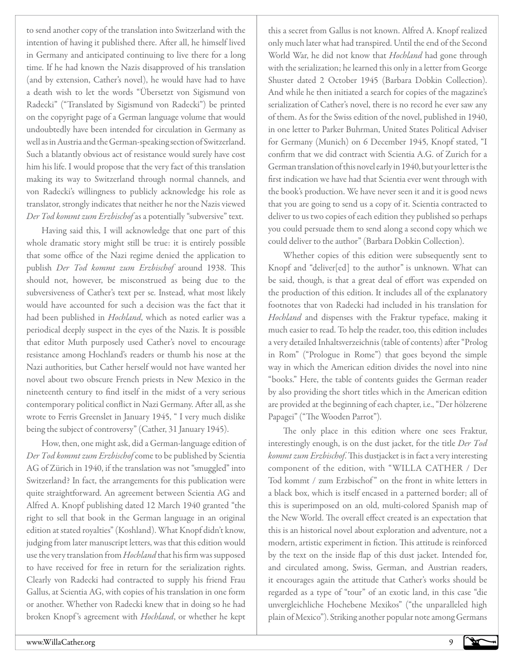to send another copy of the translation into Switzerland with the intention of having it published there. After all, he himself lived in Germany and anticipated continuing to live there for a long time. If he had known the Nazis disapproved of his translation (and by extension, Cather's novel), he would have had to have a death wish to let the words "Übersetzt von Sigismund von Radecki" ("Translated by Sigismund von Radecki") be printed on the copyright page of a German language volume that would undoubtedly have been intended for circulation in Germany as well as in Austria and the German-speaking section of Switzerland. Such a blatantly obvious act of resistance would surely have cost him his life. I would propose that the very fact of this translation making its way to Switzerland through normal channels, and von Radecki's willingness to publicly acknowledge his role as translator, strongly indicates that neither he nor the Nazis viewed *Der Tod kommt zum Erzbischof* as a potentially "subversive" text.

Having said this, I will acknowledge that one part of this whole dramatic story might still be true: it is entirely possible that some office of the Nazi regime denied the application to publish *Der Tod kommt zum Erzbischof* around 1938. This should not, however, be misconstrued as being due to the subversiveness of Cather's text per se. Instead, what most likely would have accounted for such a decision was the fact that it had been published in *Hochland*, which as noted earlier was a periodical deeply suspect in the eyes of the Nazis. It is possible that editor Muth purposely used Cather's novel to encourage resistance among Hochland's readers or thumb his nose at the Nazi authorities, but Cather herself would not have wanted her novel about two obscure French priests in New Mexico in the nineteenth century to find itself in the midst of a very serious contemporary political conflict in Nazi Germany. After all, as she wrote to Ferris Greenslet in January 1945, " I very much dislike being the subject of controversy" (Cather, 31 January 1945).

How, then, one might ask, did a German-language edition of *Der Tod kommt zum Erzbischof* come to be published by Scientia AG of Zürich in 1940, if the translation was not "smuggled" into Switzerland? In fact, the arrangements for this publication were quite straightforward. An agreement between Scientia AG and Alfred A. Knopf publishing dated 12 March 1940 granted "the right to sell that book in the German language in an original edition at stated royalties" (Koshland). What Knopf didn't know, judging from later manuscript letters, was that this edition would use the very translation from *Hochland* that his firm was supposed to have received for free in return for the serialization rights. Clearly von Radecki had contracted to supply his friend Frau Gallus, at Scientia AG, with copies of his translation in one form or another. Whether von Radecki knew that in doing so he had broken Knopf 's agreement with *Hochland*, or whether he kept

this a secret from Gallus is not known. Alfred A. Knopf realized only much later what had transpired. Until the end of the Second World War, he did not know that *Hochland* had gone through with the serialization; he learned this only in a letter from George Shuster dated 2 October 1945 (Barbara Dobkin Collection). And while he then initiated a search for copies of the magazine's serialization of Cather's novel, there is no record he ever saw any of them. As for the Swiss edition of the novel, published in 1940, in one letter to Parker Buhrman, United States Political Adviser for Germany (Munich) on 6 December 1945, Knopf stated, "I confirm that we did contract with Scientia A.G. of Zurich for a German translation of this novel early in 1940, but your letter is the first indication we have had that Scientia ever went through with the book's production. We have never seen it and it is good news that you are going to send us a copy of it. Scientia contracted to deliver to us two copies of each edition they published so perhaps you could persuade them to send along a second copy which we could deliver to the author" (Barbara Dobkin Collection).

Whether copies of this edition were subsequently sent to Knopf and "deliver[ed] to the author" is unknown. What can be said, though, is that a great deal of effort was expended on the production of this edition. It includes all of the explanatory footnotes that von Radecki had included in his translation for *Hochland* and dispenses with the Fraktur typeface, making it much easier to read. To help the reader, too, this edition includes a very detailed Inhaltsverzeichnis (table of contents) after "Prolog in Rom" ("Prologue in Rome") that goes beyond the simple way in which the American edition divides the novel into nine "books." Here, the table of contents guides the German reader by also providing the short titles which in the American edition are provided at the beginning of each chapter, i.e., "Der hölzerene Papagei" ("The Wooden Parrot").

The only place in this edition where one sees Fraktur, interestingly enough, is on the dust jacket, for the title *Der Tod kommt zum Erzbischof*. This dustjacket is in fact a very interesting component of the edition, with "WILLA CATHER / Der Tod kommt / zum Erzbischof" on the front in white letters in a black box, which is itself encased in a patterned border; all of this is superimposed on an old, multi-colored Spanish map of the New World. The overall effect created is an expectation that this is an historical novel about exploration and adventure, not a modern, artistic experiment in fiction. This attitude is reinforced by the text on the inside flap of this dust jacket. Intended for, and circulated among, Swiss, German, and Austrian readers, it encourages again the attitude that Cather's works should be regarded as a type of "tour" of an exotic land, in this case "die unvergleichliche Hochebene Mexikos" ("the unparalleled high plain of Mexico"). Striking another popular note among Germans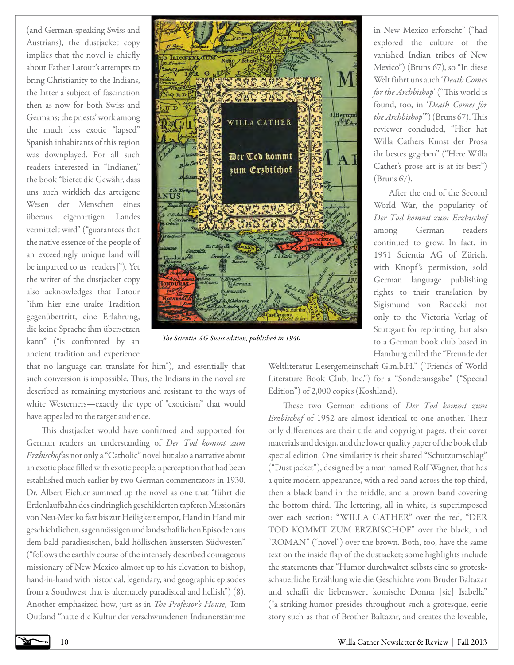(and German-speaking Swiss and Austrians), the dustjacket copy implies that the novel is chiefly about Father Latour's attempts to bring Christianity to the Indians, the latter a subject of fascination then as now for both Swiss and Germans; the priests' work among the much less exotic "lapsed" Spanish inhabitants of this region was downplayed. For all such readers interested in "Indianer," the book "bietet die Gewähr, dass uns auch wirklich das arteigene Wesen der Menschen eines überaus eigenartigen Landes vermittelt wird" ("guarantees that the native essence of the people of an exceedingly unique land will be imparted to us [readers]"). Yet the writer of the dustjacket copy also acknowledges that Latour "ihm hier eine uralte Tradition gegenübertritt, eine Erfahrung, die keine Sprache ihm übersetzen kann" ("is confronted by an ancient tradition and experience



*The Scientia AG Swiss edition, published in 1940*

that no language can translate for him"), and essentially that such conversion is impossible. Thus, the Indians in the novel are described as remaining mysterious and resistant to the ways of white Westerners—exactly the type of "exoticism" that would have appealed to the target audience.

This dustjacket would have confirmed and supported for German readers an understanding of *Der Tod kommt zum Erzbischof* as not only a "Catholic" novel but also a narrative about an exotic place filled with exotic people, a perception that had been established much earlier by two German commentators in 1930. Dr. Albert Eichler summed up the novel as one that "führt die Erdenlaufbahn des eindringlich geschilderten tapferen Missionärs von Neu-Mexiko fast bis zur Heiligkeit empor, Hand in Hand mit geschichtlichen, sagenmässigen und landschaftlichen Episoden aus dem bald paradiesischen, bald höllischen äussersten Südwesten" ("follows the earthly course of the intensely described courageous missionary of New Mexico almost up to his elevation to bishop, hand-in-hand with historical, legendary, and geographic episodes from a Southwest that is alternately paradisical and hellish") (8). Another emphasized how, just as in *The Professor's House*, Tom Outland "hatte die Kultur der verschwundenen Indianerstämme

in New Mexico erforscht" ("had explored the culture of the vanished Indian tribes of New Mexico") (Bruns 67), so "In diese Welt führt uns auch '*Death Comes for the Archbishop*' ("This world is found, too, in '*Death Comes for the Archbishop*'") (Bruns 67). This reviewer concluded, "Hier hat Willa Cathers Kunst der Prosa ihr bestes gegeben" ("Here Willa Cather's prose art is at its best") (Bruns 67).

After the end of the Second World War, the popularity of *Der Tod kommt zum Erzbischof*  among German readers continued to grow. In fact, in 1951 Scientia AG of Zürich, with Knopf's permission, sold German language publishing rights to their translation by Sigismund von Radecki not only to the Victoria Verlag of Stuttgart for reprinting, but also to a German book club based in Hamburg called the "Freunde der

Weltliteratur Lesergemeinschaft G.m.b.H." ("Friends of World Literature Book Club, Inc.") for a "Sonderausgabe" ("Special Edition") of 2,000 copies (Koshland).

These two German editions of *Der Tod kommt zum Erzbischof* of 1952 are almost identical to one another. Their only differences are their title and copyright pages, their cover materials and design, and the lower quality paper of the book club special edition. One similarity is their shared "Schutzumschlag" ("Dust jacket"), designed by a man named Rolf Wagner, that has a quite modern appearance, with a red band across the top third, then a black band in the middle, and a brown band covering the bottom third. The lettering, all in white, is superimposed over each section: "WILLA CATHER" over the red, "DER TOD KOMMT ZUM ERZBISCHOF" over the black, and "ROMAN" ("novel") over the brown. Both, too, have the same text on the inside flap of the dustjacket; some highlights include the statements that "Humor durchwaltet selbsts eine so groteskschauerliche Erzählung wie die Geschichte vom Bruder Baltazar und schafft die liebenswert komische Donna [sic] Isabella" ("a striking humor presides throughout such a grotesque, eerie story such as that of Brother Baltazar, and creates the loveable,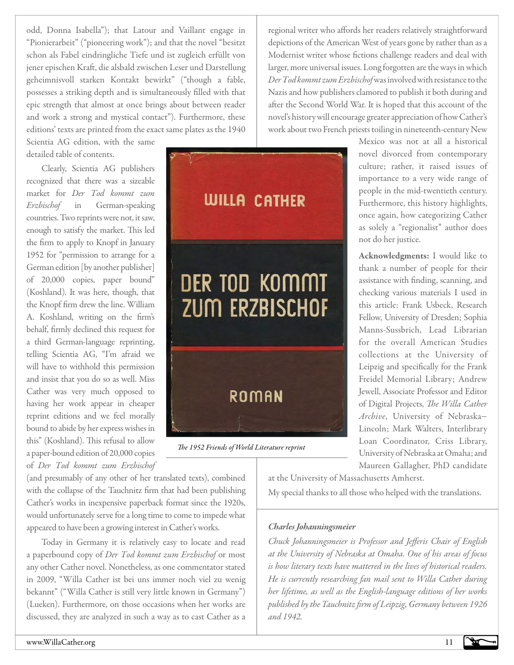odd, Donna Isabella"); that Latour and Vaillant engage in "Pionierarbeit" ("pioneering work"); and that the novel "besitzt schon als Fabel eindringliche Tiefe und ist zugleich erfüllt von jener epischen Kraft, die alsbald zwischen Leser und Darstellung geheimnisvoll starken Kontakt bewirkt" ("though a fable, possesses a striking depth and is simultaneously filled with that epic strength that almost at once brings about between reader and work a strong and mystical contact"). Furthermore, these editions' texts are printed from the exact same plates as the 1940

Scientia AG edition, with the same detailed table of contents.

Clearly, Scientia AG publishers recognized that there was a sizeable market for *Der Tod kommt zum Erzbischof* in German-speaking countries. Two reprints were not, it saw, enough to satisfy the market. This led the firm to apply to Knopf in January 1952 for "permission to arrange for a German edition [by another publisher] of 20,000 copies, paper bound" (Koshland). It was here, though, that the Knopf firm drew the line. William A. Koshland, writing on the firm's behalf, firmly declined this request for a third German-language reprinting, telling Scientia AG, "I'm afraid we will have to withhold this permission and insist that you do so as well. Miss Cather was very much opposed to having her work appear in cheaper reprint editions and we feel morally bound to abide by her express wishes in this" (Koshland). This refusal to allow a paper-bound edition of 20,000 copies of *Der Tod kommt zum Erzbischof* 

(and presumably of any other of her translated texts), combined with the collapse of the Tauchnitz firm that had been publishing Cather's works in inexpensive paperback format since the 1920s, would unfortunately serve for a long time to come to impede what appeared to have been a growing interest in Cather's works.

Today in Germany it is relatively easy to locate and read a paperbound copy of *Der Tod kommt zum Erzbischof* or most any other Cather novel. Nonetheless, as one commentator stated in 2009, "Willa Cather ist bei uns immer noch viel zu wenig bekannt" ("Willa Cather is still very little known in Germany") (Lueken). Furthermore, on those occasions when her works are discussed, they are analyzed in such a way as to cast Cather as a

regional writer who affords her readers relatively straightforward depictions of the American West of years gone by rather than as a Modernist writer whose fictions challenge readers and deal with larger, more universal issues. Long forgotten are the ways in which *Der Tod kommt zum Erzbischof* was involved with resistance to the Nazis and how publishers clamored to publish it both during and after the Second World War. It is hoped that this account of the novel's history will encourage greater appreciation of how Cather's work about two French priests toiling in nineteenth-century New



*The 1952 Friends of World Literature reprint*

Mexico was not at all a historical novel divorced from contemporary culture; rather, it raised issues of importance to a very wide range of people in the mid-twentieth century. Furthermore, this history highlights, once again, how categorizing Cather as solely a "regionalist" author does not do her justice.

Acknowledgments: I would like to thank a number of people for their assistance with finding, scanning, and checking various materials I used in this article: Frank Usbeck, Research Fellow, University of Dresden; Sophia Manns-Sussbrich, Lead Librarian for the overall American Studies collections at the University of Leipzig and specifically for the Frank Freidel Memorial Library; Andrew Jewell, Associate Professor and Editor of Digital Projects, *The Willa Cather Archive*, University of Nebraska− Lincoln; Mark Walters, Interlibrary Loan Coordinator, Criss Library, University of Nebraska at Omaha; and Maureen Gallagher, PhD candidate

at the University of Massachusetts Amherst. My special thanks to all those who helped with the translations.

# *Charles Johanningsmeier*

*Chuck Johanningsmeier is Professor and Jefferis Chair of English at the University of Nebraska at Omaha. One of his areas of focus is how literary texts have mattered in the lives of historical readers. He is currently researching fan mail sent to Willa Cather during her lifetime, as well as the English-language editions of her works published by the Tauchnitz firm of Leipzig, Germany between 1926 and 1942.*